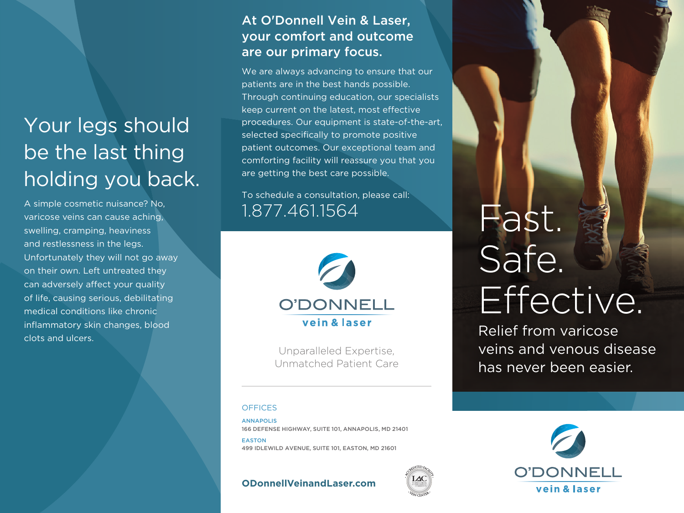# Your legs should be the last thing holding you back.

A simple cosmetic nuisance? No, varicose veins can cause aching, swelling, cramping, heaviness and restlessness in the legs. Unfortunately they will not go away on their own. Left untreated they can adversely affect your quality of life, causing serious, debilitating medical conditions like chronic inflammatory skin changes, blood clots and ulc ers.

# At O'Donnell Vein & Laser, your comfort and outcome are our primary focus.

We are always advancing to ensure that our patients are in the best hands possible. Through continuing education, our specialists keep current on the latest, most effective procedures. Our equipment is state-of-the-art, selected specifically to promote positive patient outcomes. Our exceptional team and comforting facility will reassure you that you are getting the best care possible.

To schedule a consultation, please call: 1.877.461.1564



Unparalleled Expertise, Unmatched Patient Care

# **OFFICES**

ANNAPOLIS 166 DEFENSE HIGHWAY, SUITE 101, ANNAPOLIS, MD 21401

EASTON 499 IDLEWILD AVENUE, SUITE 101, EASTON, MD 21601

**ODonnellVeinandLaser.com**



Relief from varicose veins and venous disease has never been easier.